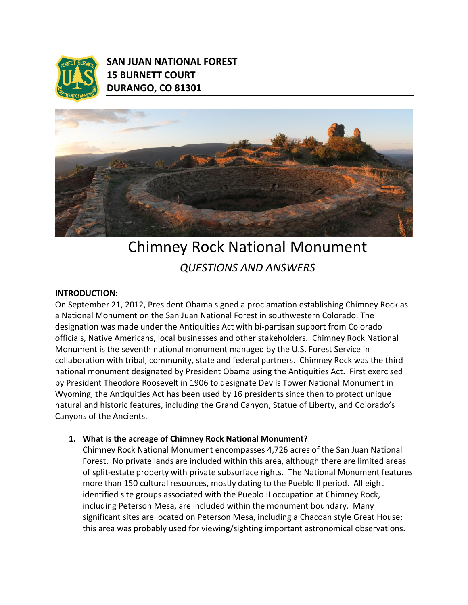

SAN JUAN NATIONAL FOREST 15 BURNETT COURT DURANGO, CO 81301



# Chimney Rock National Monument QUESTIONS AND ANSWERS

#### INTRODUCTION:

On September 21, 2012, President Obama signed a proclamation establishing Chimney Rock as a National Monument on the San Juan National Forest in southwestern Colorado. The designation was made under the Antiquities Act with bi-partisan support from Colorado officials, Native Americans, local businesses and other stakeholders. Chimney Rock National Monument is the seventh national monument managed by the U.S. Forest Service in collaboration with tribal, community, state and federal partners. Chimney Rock was the third national monument designated by President Obama using the Antiquities Act. First exercised by President Theodore Roosevelt in 1906 to designate Devils Tower National Monument in Wyoming, the Antiquities Act has been used by 16 presidents since then to protect unique natural and historic features, including the Grand Canyon, Statue of Liberty, and Colorado's Canyons of the Ancients.

#### 1. What is the acreage of Chimney Rock National Monument?

Chimney Rock National Monument encompasses 4,726 acres of the San Juan National Forest. No private lands are included within this area, although there are limited areas of split-estate property with private subsurface rights. The National Monument features more than 150 cultural resources, mostly dating to the Pueblo II period. All eight identified site groups associated with the Pueblo II occupation at Chimney Rock, including Peterson Mesa, are included within the monument boundary. Many significant sites are located on Peterson Mesa, including a Chacoan style Great House; this area was probably used for viewing/sighting important astronomical observations.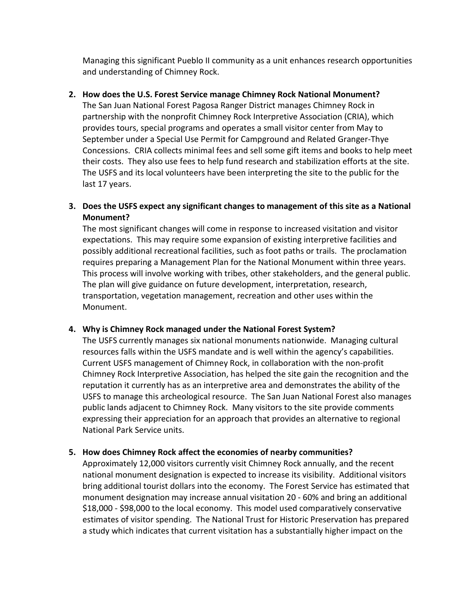Managing this significant Pueblo II community as a unit enhances research opportunities and understanding of Chimney Rock.

## 2. How does the U.S. Forest Service manage Chimney Rock National Monument?

The San Juan National Forest Pagosa Ranger District manages Chimney Rock in partnership with the nonprofit Chimney Rock Interpretive Association (CRIA), which provides tours, special programs and operates a small visitor center from May to September under a Special Use Permit for Campground and Related Granger-Thye Concessions. CRIA collects minimal fees and sell some gift items and books to help meet their costs. They also use fees to help fund research and stabilization efforts at the site. The USFS and its local volunteers have been interpreting the site to the public for the last 17 years.

# 3. Does the USFS expect any significant changes to management of this site as a National Monument?

The most significant changes will come in response to increased visitation and visitor expectations. This may require some expansion of existing interpretive facilities and possibly additional recreational facilities, such as foot paths or trails. The proclamation requires preparing a Management Plan for the National Monument within three years. This process will involve working with tribes, other stakeholders, and the general public. The plan will give guidance on future development, interpretation, research, transportation, vegetation management, recreation and other uses within the Monument.

## 4. Why is Chimney Rock managed under the National Forest System?

The USFS currently manages six national monuments nationwide. Managing cultural resources falls within the USFS mandate and is well within the agency's capabilities. Current USFS management of Chimney Rock, in collaboration with the non-profit Chimney Rock Interpretive Association, has helped the site gain the recognition and the reputation it currently has as an interpretive area and demonstrates the ability of the USFS to manage this archeological resource. The San Juan National Forest also manages public lands adjacent to Chimney Rock. Many visitors to the site provide comments expressing their appreciation for an approach that provides an alternative to regional National Park Service units.

## 5. How does Chimney Rock affect the economies of nearby communities?

Approximately 12,000 visitors currently visit Chimney Rock annually, and the recent national monument designation is expected to increase its visibility. Additional visitors bring additional tourist dollars into the economy. The Forest Service has estimated that monument designation may increase annual visitation 20 - 60% and bring an additional \$18,000 - \$98,000 to the local economy. This model used comparatively conservative estimates of visitor spending. The National Trust for Historic Preservation has prepared a study which indicates that current visitation has a substantially higher impact on the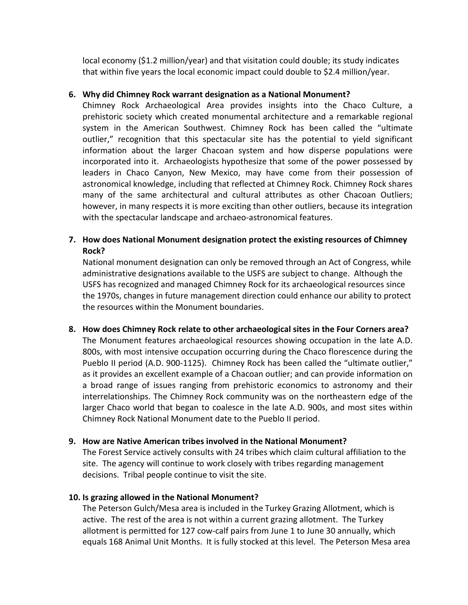local economy (\$1.2 million/year) and that visitation could double; its study indicates that within five years the local economic impact could double to \$2.4 million/year.

## 6. Why did Chimney Rock warrant designation as a National Monument?

Chimney Rock Archaeological Area provides insights into the Chaco Culture, a prehistoric society which created monumental architecture and a remarkable regional system in the American Southwest. Chimney Rock has been called the "ultimate outlier," recognition that this spectacular site has the potential to yield significant information about the larger Chacoan system and how disperse populations were incorporated into it. Archaeologists hypothesize that some of the power possessed by leaders in Chaco Canyon, New Mexico, may have come from their possession of astronomical knowledge, including that reflected at Chimney Rock. Chimney Rock shares many of the same architectural and cultural attributes as other Chacoan Outliers; however, in many respects it is more exciting than other outliers, because its integration with the spectacular landscape and archaeo-astronomical features.

# 7. How does National Monument designation protect the existing resources of Chimney Rock?

National monument designation can only be removed through an Act of Congress, while administrative designations available to the USFS are subject to change. Although the USFS has recognized and managed Chimney Rock for its archaeological resources since the 1970s, changes in future management direction could enhance our ability to protect the resources within the Monument boundaries.

8. How does Chimney Rock relate to other archaeological sites in the Four Corners area? The Monument features archaeological resources showing occupation in the late A.D. 800s, with most intensive occupation occurring during the Chaco florescence during the Pueblo II period (A.D. 900-1125). Chimney Rock has been called the "ultimate outlier," as it provides an excellent example of a Chacoan outlier; and can provide information on a broad range of issues ranging from prehistoric economics to astronomy and their interrelationships. The Chimney Rock community was on the northeastern edge of the larger Chaco world that began to coalesce in the late A.D. 900s, and most sites within Chimney Rock National Monument date to the Pueblo II period.

## 9. How are Native American tribes involved in the National Monument?

The Forest Service actively consults with 24 tribes which claim cultural affiliation to the site. The agency will continue to work closely with tribes regarding management decisions. Tribal people continue to visit the site.

## 10. Is grazing allowed in the National Monument?

The Peterson Gulch/Mesa area is included in the Turkey Grazing Allotment, which is active. The rest of the area is not within a current grazing allotment. The Turkey allotment is permitted for 127 cow-calf pairs from June 1 to June 30 annually, which equals 168 Animal Unit Months. It is fully stocked at this level. The Peterson Mesa area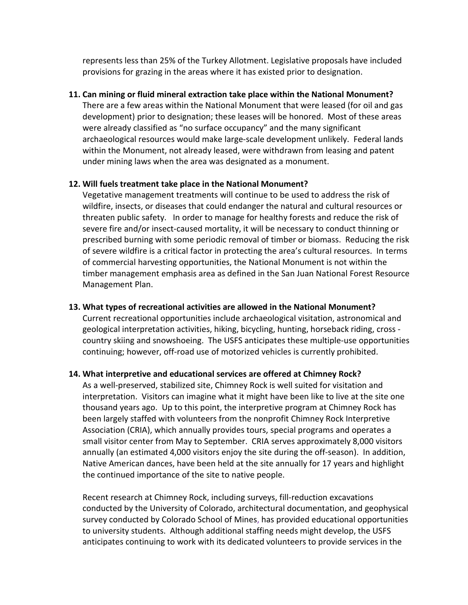represents less than 25% of the Turkey Allotment. Legislative proposals have included provisions for grazing in the areas where it has existed prior to designation.

#### 11. Can mining or fluid mineral extraction take place within the National Monument?

There are a few areas within the National Monument that were leased (for oil and gas development) prior to designation; these leases will be honored. Most of these areas were already classified as "no surface occupancy" and the many significant archaeological resources would make large-scale development unlikely. Federal lands within the Monument, not already leased, were withdrawn from leasing and patent under mining laws when the area was designated as a monument.

#### 12. Will fuels treatment take place in the National Monument?

Vegetative management treatments will continue to be used to address the risk of wildfire, insects, or diseases that could endanger the natural and cultural resources or threaten public safety. In order to manage for healthy forests and reduce the risk of severe fire and/or insect-caused mortality, it will be necessary to conduct thinning or prescribed burning with some periodic removal of timber or biomass. Reducing the risk of severe wildfire is a critical factor in protecting the area's cultural resources. In terms of commercial harvesting opportunities, the National Monument is not within the timber management emphasis area as defined in the San Juan National Forest Resource Management Plan.

## 13. What types of recreational activities are allowed in the National Monument?

Current recreational opportunities include archaeological visitation, astronomical and geological interpretation activities, hiking, bicycling, hunting, horseback riding, cross country skiing and snowshoeing. The USFS anticipates these multiple-use opportunities continuing; however, off-road use of motorized vehicles is currently prohibited.

#### 14. What interpretive and educational services are offered at Chimney Rock?

As a well-preserved, stabilized site, Chimney Rock is well suited for visitation and interpretation. Visitors can imagine what it might have been like to live at the site one thousand years ago. Up to this point, the interpretive program at Chimney Rock has been largely staffed with volunteers from the nonprofit Chimney Rock Interpretive Association (CRIA), which annually provides tours, special programs and operates a small visitor center from May to September. CRIA serves approximately 8,000 visitors annually (an estimated 4,000 visitors enjoy the site during the off-season). In addition, Native American dances, have been held at the site annually for 17 years and highlight the continued importance of the site to native people.

Recent research at Chimney Rock, including surveys, fill-reduction excavations conducted by the University of Colorado, architectural documentation, and geophysical survey conducted by Colorado School of Mines, has provided educational opportunities to university students. Although additional staffing needs might develop, the USFS anticipates continuing to work with its dedicated volunteers to provide services in the